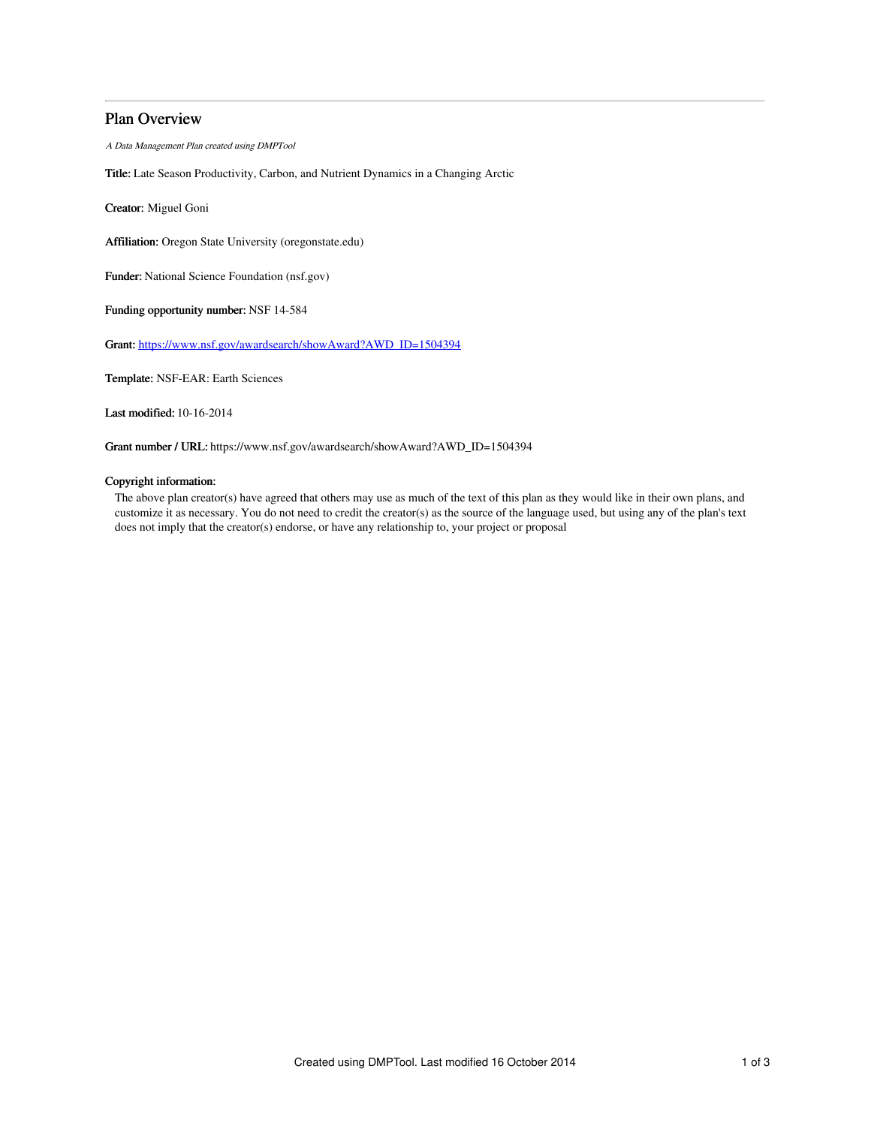# Plan Overview

A Data Management Plan created using DMPTool

Title: Late Season Productivity, Carbon, and Nutrient Dynamics in a Changing Arctic

Creator: Miguel Goni

Affiliation: Oregon State University (oregonstate.edu)

Funder: National Science Foundation (nsf.gov)

Funding opportunity number: NSF 14-584

Grant: [https://www.nsf.gov/awardsearch/showAward?AWD\\_ID=1504394](https://www.nsf.gov/awardsearch/showAward?AWD_ID=1504394)

Template: NSF-EAR: Earth Sciences

Last modified: 10-16-2014

Grant number / URL: https://www.nsf.gov/awardsearch/showAward?AWD\_ID=1504394

## Copyright information:

The above plan creator(s) have agreed that others may use as much of the text of this plan as they would like in their own plans, and customize it as necessary. You do not need to credit the creator(s) as the source of the language used, but using any of the plan's text does not imply that the creator(s) endorse, or have any relationship to, your project or proposal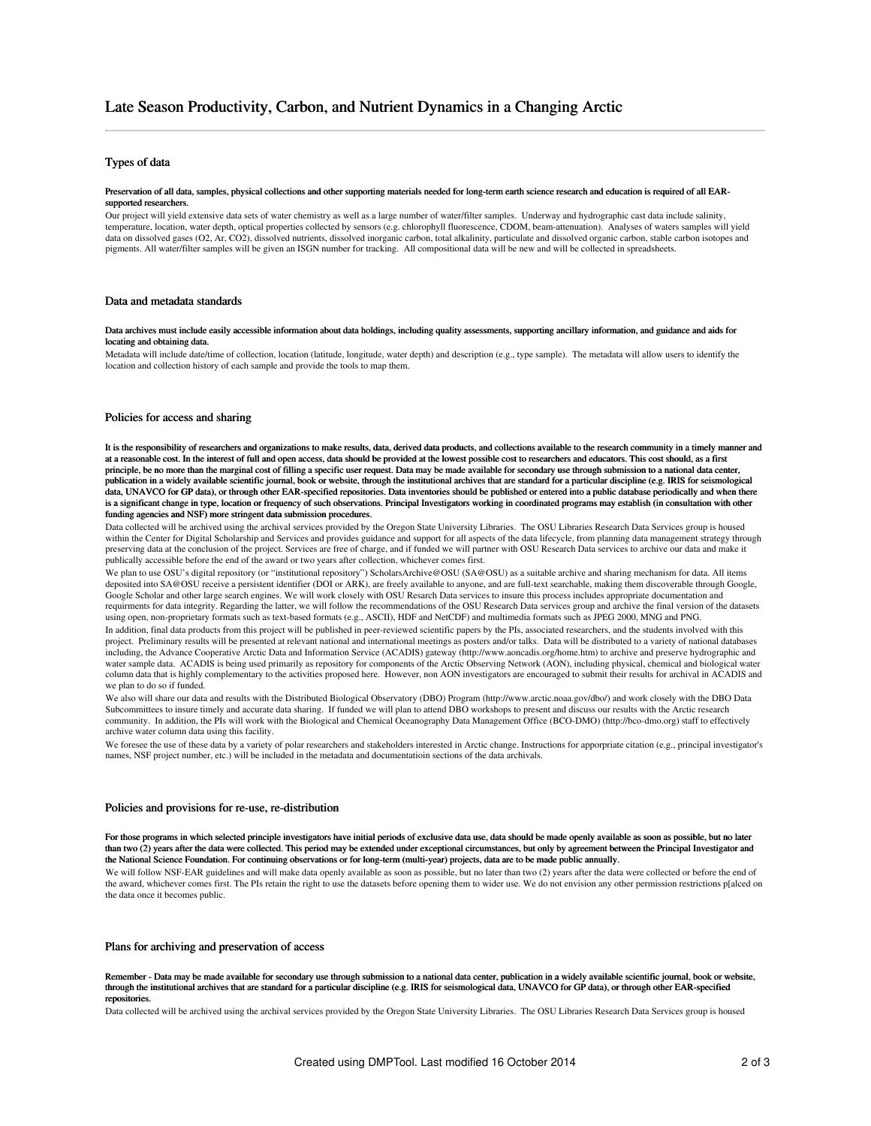## Types of data

#### Preservation of all data, samples, physical collections and other supporting materials needed for long-term earth science research and education is required of all EARsupported researchers.

Our project will yield extensive data sets of water chemistry as well as a large number of water/filter samples. Underway and hydrographic cast data include salinity, temperature, location, water depth, optical properties collected by sensors (e.g. chlorophyll fluorescence, CDOM, beam-attenuation). Analyses of waters samples will yield data on dissolved gases (O2, Ar, CO2), dissolved nutrients, dissolved inorganic carbon, total alkalinity, particulate and dissolved organic carbon, stable carbon isotopes and pigments. All water/filter samples will be given an ISGN number for tracking. All compositional data will be new and will be collected in spreadsheets.

### Data and metadata standards

#### Data archives must include easily accessible information about data holdings, including quality assessments, supporting ancillary information, and guidance and aids for locating and obtaining data.

Metadata will include date/time of collection, location (latitude, longitude, water depth) and description (e.g., type sample). The metadata will allow users to identify the location and collection history of each sample and provide the tools to map them.

#### Policies for access and sharing

It is the responsibility of researchers and organizations to make results, data, derived data products, and collections available to the research community in a timely manner and at a reasonable cost. In the interest of full and open access, data should be provided at the lowest possible cost to researchers and educators. This cost should, as a first principle, be no more than the marginal cost of filling a specific user request. Data may be made available for secondary use through submission to a national data center, publication in a widely available scientific journal, book or website, through the institutional archives that are standard for a particular discipline (e.g. IRIS for seismological<br>data, UNAVCO for GP data), or through oth is a significant change in type, location or frequency of such observations. Principal Investigators working in coordinated programs may establish (in consultation with other funding agencies and NSF) more stringent data submission procedures.

Data collected will be archived using the archival services provided by the Oregon State University Libraries. The OSU Libraries Research Data Services group is housed within the Center for Digital Scholarship and Services and provides guidance and support for all aspects of the data lifecycle, from planning data management strategy through preserving data at the conclusion of the project. Services are free of charge, and if funded we will partner with OSU Research Data services to archive our data and make it publically accessible before the end of the award or two years after collection, whichever comes first.

We plan to use OSU's digital repository (or "institutional repository") ScholarsArchive@OSU (SA@OSU) as a suitable archive and sharing mechanism for data. All items deposited into SA@OSU receive a persistent identifier (DOI or ARK), are freely available to anyone, and are full-text searchable, making them discoverable through Google, Google Scholar and other large search engines. We will work closely with OSU Resarch Data services to insure this process includes appropriate documentation and requirments for data integrity. Regarding the latter, we will follow the recommendations of the OSU Research Data services group and archive the final version of the datasets using open, non-proprietary formats such as text-based formats (e.g., ASCII), HDF and NetCDF) and multimedia formats such as JPEG 2000, MNG and PNG.

In addition, final data products from this project will be published in peer-reviewed scientific papers by the PIs, associated researchers, and the students involved with this project. Preliminary results will be presented at relevant national and international meetings as posters and/or talks. Data will be distributed to a variety of national databases including, the Advance Cooperative Arctic Data and Information Service (ACADIS) gateway (http://www.aoncadis.org/home.htm) to archive and preserve hydrographic and water sample data. ACADIS is being used primarily as repository for components of the Arctic Observing Network (AON), including physical, chemical and biological water column data that is highly complementary to the activities proposed here. However, non AON investigators are encouraged to submit their results for archival in ACADIS and we plan to do so if funded.

We also will share our data and results with the Distributed Biological Observatory (DBO) Program (http://www.arctic.noaa.gov/dbo/) and work closely with the DBO Data Subcommittees to insure timely and accurate data sharing. If funded we will plan to attend DBO workshops to present and discuss our results with the Arctic research community. In addition, the PIs will work with the Biological and Chemical Oceanography Data Management Office (BCO-DMO) (http://bco-dmo.org) staff to effectively archive water column data using this facility.

We foresee the use of these data by a variety of polar researchers and stakeholders interested in Arctic change. Instructions for apporpriate citation (e.g., principal investigator's names, NSF project number, etc.) will be included in the metadata and documentatioin sections of the data archivals.

## Policies and provisions for re-use, re-distribution

For those programs in which selected principle investigators have initial periods of exclusive data use, data should be made openly available as soon as possible, but no later than two (2) years after the data were collected. This period may be extended under exceptional circumstances, but only by agreement between the Principal Investigator and the National Science Foundation. For continuing observations or for long-term (multi-year) projects, data are to be made public annually.

We will follow NSF-EAR guidelines and will make data openly available as soon as possible, but no later than two (2) years after the data were collected or before the end of the award, whichever comes first. The PIs retain the right to use the datasets before opening them to wider use. We do not envision any other permission restrictions p[alced on the data once it becomes public.

## Plans for archiving and preservation of access

Remember - Data may be made available for secondary use through submission to a national data center, publication in a widely available scientific journal, book or website, through the institutional archives that are standard for a particular discipline (e.g. IRIS for seismological data, UNAVCO for GP data), or through other EAR-specified repositories.

Data collected will be archived using the archival services provided by the Oregon State University Libraries. The OSU Libraries Research Data Services group is housed